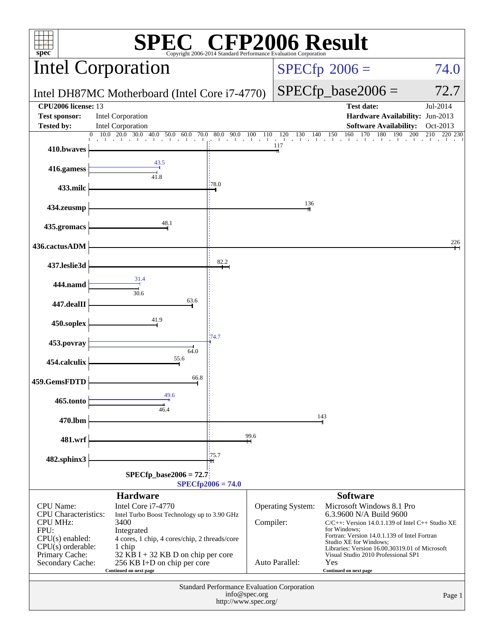| $\mathbb{C}^{\scriptscriptstyle \otimes}$ CFP2006 Result<br>$spec^*$<br>Copyright 2006-2014 Standard Performance Evaluation Corporation  |                                                                                                                                      |                       |                   |                                                                                                                                                                                                                                                                                                                     |                                                                                       |                      |  |  |
|------------------------------------------------------------------------------------------------------------------------------------------|--------------------------------------------------------------------------------------------------------------------------------------|-----------------------|-------------------|---------------------------------------------------------------------------------------------------------------------------------------------------------------------------------------------------------------------------------------------------------------------------------------------------------------------|---------------------------------------------------------------------------------------|----------------------|--|--|
| <b>Intel Corporation</b>                                                                                                                 |                                                                                                                                      |                       |                   |                                                                                                                                                                                                                                                                                                                     | $SPECfp^{\circ}2006 =$                                                                | 74.0                 |  |  |
| Intel DH87MC Motherboard (Intel Core i7-4770)                                                                                            |                                                                                                                                      |                       |                   |                                                                                                                                                                                                                                                                                                                     | $SPECfp\_base2006 =$                                                                  | 72.7                 |  |  |
| CPU2006 license: 13<br><b>Test sponsor:</b><br><b>Tested by:</b>                                                                         | Intel Corporation<br>Intel Corporation                                                                                               |                       |                   |                                                                                                                                                                                                                                                                                                                     | <b>Test date:</b><br>Hardware Availability: Jun-2013<br><b>Software Availability:</b> | Jul-2014<br>Oct-2013 |  |  |
| 410.bwaves                                                                                                                               | $10.0 \quad 20.0$<br>30.0<br>$\Omega$<br>40.0<br>50.0<br>70.0<br>60.0                                                                | 80.0<br>90.0<br>la la | 100<br>110        | 120<br>130<br>140<br>all the collection<br>117                                                                                                                                                                                                                                                                      | 150<br>160<br>170<br>180<br>190<br>200<br>and a dead and a long                       | 210<br>220 230       |  |  |
| 416.gamess                                                                                                                               | 43.5                                                                                                                                 |                       |                   |                                                                                                                                                                                                                                                                                                                     |                                                                                       |                      |  |  |
| 433.milc                                                                                                                                 | 41.8                                                                                                                                 | 78.0                  |                   |                                                                                                                                                                                                                                                                                                                     |                                                                                       |                      |  |  |
| 434.zeusmp                                                                                                                               |                                                                                                                                      |                       |                   | 136                                                                                                                                                                                                                                                                                                                 |                                                                                       |                      |  |  |
| 435.gromacs                                                                                                                              | 48.1                                                                                                                                 |                       |                   |                                                                                                                                                                                                                                                                                                                     |                                                                                       |                      |  |  |
| 436.cactusADM                                                                                                                            |                                                                                                                                      |                       |                   |                                                                                                                                                                                                                                                                                                                     |                                                                                       | 226                  |  |  |
| 437.leslie3d                                                                                                                             |                                                                                                                                      | 82.2                  |                   |                                                                                                                                                                                                                                                                                                                     |                                                                                       |                      |  |  |
| 444.namd                                                                                                                                 | 31.4                                                                                                                                 |                       |                   |                                                                                                                                                                                                                                                                                                                     |                                                                                       |                      |  |  |
| 447.dealII                                                                                                                               | 30.6<br>63.6                                                                                                                         |                       |                   |                                                                                                                                                                                                                                                                                                                     |                                                                                       |                      |  |  |
| 450.soplex                                                                                                                               | 41.9                                                                                                                                 |                       |                   |                                                                                                                                                                                                                                                                                                                     |                                                                                       |                      |  |  |
| 453.povray                                                                                                                               | 64.0                                                                                                                                 | 74.7                  |                   |                                                                                                                                                                                                                                                                                                                     |                                                                                       |                      |  |  |
| 454.calculix                                                                                                                             | 55.6                                                                                                                                 |                       |                   |                                                                                                                                                                                                                                                                                                                     |                                                                                       |                      |  |  |
| 459.GemsFDTD                                                                                                                             | 66.8                                                                                                                                 |                       |                   |                                                                                                                                                                                                                                                                                                                     |                                                                                       |                      |  |  |
| 465.tonto                                                                                                                                | 49.6<br>46.4                                                                                                                         |                       |                   |                                                                                                                                                                                                                                                                                                                     |                                                                                       |                      |  |  |
| 470.lbm                                                                                                                                  |                                                                                                                                      |                       |                   |                                                                                                                                                                                                                                                                                                                     | 143                                                                                   |                      |  |  |
| 481.wrf                                                                                                                                  |                                                                                                                                      |                       | 99.6              |                                                                                                                                                                                                                                                                                                                     |                                                                                       |                      |  |  |
| 482.sphinx3                                                                                                                              |                                                                                                                                      | 175.7                 |                   |                                                                                                                                                                                                                                                                                                                     |                                                                                       |                      |  |  |
|                                                                                                                                          | $SPECfp\_base2006 = 72.7$<br>$SPECfp2006 = 74.0$                                                                                     |                       |                   |                                                                                                                                                                                                                                                                                                                     |                                                                                       |                      |  |  |
| <b>CPU</b> Name:<br><b>CPU</b> Characteristics:<br><b>CPU MHz:</b><br>FPU:<br>$CPU(s)$ enabled:<br>$CPU(s)$ orderable:<br>Primary Cache: | Intel Turbo Boost Technology up to 3.90 GHz<br>4 cores, 1 chip, 4 cores/chip, 2 threads/core<br>$32$ KB I + 32 KB D on chip per core | Compiler:             | Operating System: | <b>Software</b><br>Microsoft Windows 8.1 Pro<br>6.3.9600 N/A Build 9600<br>$C/C++$ : Version 14.0.1.139 of Intel $C++$ Studio XE<br>for Windows:<br>Fortran: Version 14.0.1.139 of Intel Fortran<br>Studio XE for Windows;<br>Libraries: Version 16.00.30319.01 of Microsoft<br>Visual Studio 2010 Professional SP1 |                                                                                       |                      |  |  |
| Secondary Cache:                                                                                                                         | 256 KB I+D on chip per core<br>Continued on next page                                                                                |                       |                   | Auto Parallel:                                                                                                                                                                                                                                                                                                      | Yes<br>Continued on next page                                                         |                      |  |  |
| Standard Performance Evaluation Corporation<br>info@spec.org<br>Page 1<br>http://www.spec.org/                                           |                                                                                                                                      |                       |                   |                                                                                                                                                                                                                                                                                                                     |                                                                                       |                      |  |  |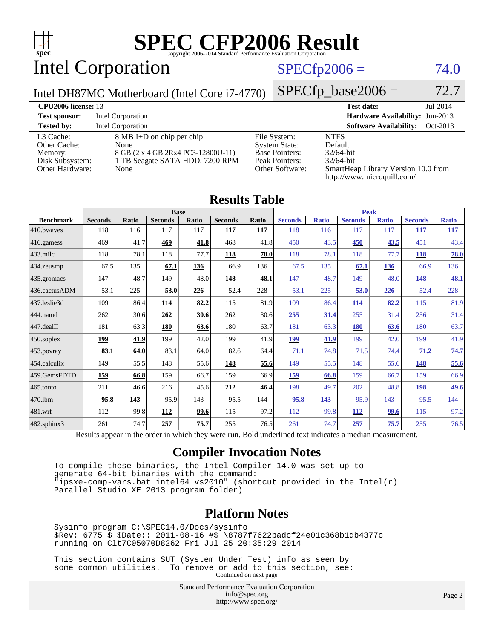

# Intel Corporation

### $SPECfp2006 = 74.0$  $SPECfp2006 = 74.0$

Intel DH87MC Motherboard (Intel Core i7-4770)

 $SPECfp\_base2006 = 72.7$ 

| CPU <sub>2006</sub> license: 13                                            |                                                                                                                    |                                                                                                    | Jul-2014<br><b>Test date:</b>                                                                                               |
|----------------------------------------------------------------------------|--------------------------------------------------------------------------------------------------------------------|----------------------------------------------------------------------------------------------------|-----------------------------------------------------------------------------------------------------------------------------|
| <b>Test sponsor:</b>                                                       | Intel Corporation                                                                                                  |                                                                                                    | <b>Hardware Availability: Jun-2013</b>                                                                                      |
| <b>Tested by:</b>                                                          | Intel Corporation                                                                                                  |                                                                                                    | <b>Software Availability:</b><br>Oct-2013                                                                                   |
| L3 Cache:<br>Other Cache:<br>Memory:<br>Disk Subsystem:<br>Other Hardware: | 8 MB I+D on chip per chip<br>None<br>8 GB (2 x 4 GB 2Rx4 PC3-12800U-11)<br>1 TB Seagate SATA HDD, 7200 RPM<br>None | File System:<br><b>System State:</b><br><b>Base Pointers:</b><br>Peak Pointers:<br>Other Software: | <b>NTFS</b><br>Default<br>$32/64$ -bit<br>$32/64$ -bit<br>SmartHeap Library Version 10.0 from<br>http://www.microquill.com/ |

| <b>Results Table</b> |                |       |                |       |                |       |                |              |                |              |                |              |
|----------------------|----------------|-------|----------------|-------|----------------|-------|----------------|--------------|----------------|--------------|----------------|--------------|
|                      |                |       | <b>Base</b>    |       |                |       | <b>Peak</b>    |              |                |              |                |              |
| <b>Benchmark</b>     | <b>Seconds</b> | Ratio | <b>Seconds</b> | Ratio | <b>Seconds</b> | Ratio | <b>Seconds</b> | <b>Ratio</b> | <b>Seconds</b> | <b>Ratio</b> | <b>Seconds</b> | <b>Ratio</b> |
| 410.bwayes           | 118            | 116   | 117            | 117   | 117            | 117   | 118            | 116          | 117            | 117          | 117            | <u>117</u>   |
| 416.gamess           | 469            | 41.7  | 469            | 41.8  | 468            | 41.8  | 450            | 43.5         | 450            | 43.5         | 451            | 43.4         |
| $433$ .milc          | 118            | 78.1  | 118            | 77.7  | 118            | 78.0  | 118            | 78.1         | 118            | 77.7         | <b>118</b>     | 78.0         |
| 434.zeusmp           | 67.5           | 135   | 67.1           | 136   | 66.9           | 136   | 67.5           | 135          | 67.1           | <b>136</b>   | 66.9           | 136          |
| 435.gromacs          | 147            | 48.7  | 149            | 48.0  | 148            | 48.1  | 147            | 48.7         | 149            | 48.0         | <u>148</u>     | <u>48.1</u>  |
| 436.cactusADM        | 53.1           | 225   | 53.0           | 226   | 52.4           | 228   | 53.1           | 225          | 53.0           | 226          | 52.4           | 228          |
| 437.leslie3d         | 109            | 86.4  | 114            | 82.2  | 115            | 81.9  | 109            | 86.4         | 114            | 82.2         | 115            | 81.9         |
| 444.namd             | 262            | 30.6  | 262            | 30.6  | 262            | 30.6  | 255            | 31.4         | 255            | 31.4         | 256            | 31.4         |
| 447.dealII           | 181            | 63.3  | 180            | 63.6  | 180            | 63.7  | 181            | 63.3         | 180            | 63.6         | 180            | 63.7         |
| 450.soplex           | 199            | 41.9  | 199            | 42.0  | 199            | 41.9  | <b>199</b>     | 41.9         | 199            | 42.0         | 199            | 41.9         |
| 453.povray           | 83.1           | 64.0  | 83.1           | 64.0  | 82.6           | 64.4  | 71.1           | 74.8         | 71.5           | 74.4         | 71.2           | 74.7         |
| 454.calculix         | 149            | 55.5  | 148            | 55.6  | 148            | 55.6  | 149            | 55.5         | 148            | 55.6         | 148            | 55.6         |
| 459.GemsFDTD         | 159            | 66.8  | 159            | 66.7  | 159            | 66.9  | 159            | 66.8         | 159            | 66.7         | 159            | 66.9         |
| 465.tonto            | 211            | 46.6  | 216            | 45.6  | 212            | 46.4  | 198            | 49.7         | 202            | 48.8         | <b>198</b>     | <u>49.6</u>  |
| 470.1bm              | 95.8           | 143   | 95.9           | 143   | 95.5           | 144   | 95.8           | 143          | 95.9           | 143          | 95.5           | 144          |
| 481.wrf              | 112            | 99.8  | <b>112</b>     | 99.6  | 115            | 97.2  | 112            | 99.8         | 112            | 99.6         | 115            | 97.2         |
| 482.sphinx3          | 261            | 74.7  | 257            | 75.7  | 255            | 76.5  | 261            | 74.7         | 257            | 75.7         | 255            | 76.5         |

Results appear in the [order in which they were run.](http://www.spec.org/auto/cpu2006/Docs/result-fields.html#RunOrder) Bold underlined text [indicates a median measurement.](http://www.spec.org/auto/cpu2006/Docs/result-fields.html#Median)

### **[Compiler Invocation Notes](http://www.spec.org/auto/cpu2006/Docs/result-fields.html#CompilerInvocationNotes)**

 To compile these binaries, the Intel Compiler 14.0 was set up to generate 64-bit binaries with the command: "ipsxe-comp-vars.bat intel64 vs2010" (shortcut provided in the Intel(r) Parallel Studio XE 2013 program folder)

### **[Platform Notes](http://www.spec.org/auto/cpu2006/Docs/result-fields.html#PlatformNotes)**

 Sysinfo program C:\SPEC14.0/Docs/sysinfo \$Rev: 6775 \$ \$Date:: 2011-08-16 #\$ \8787f7622badcf24e01c368b1db4377c running on Clt7C05070D8262 Fri Jul 25 20:35:29 2014

 This section contains SUT (System Under Test) info as seen by some common utilities. To remove or add to this section, see: Continued on next page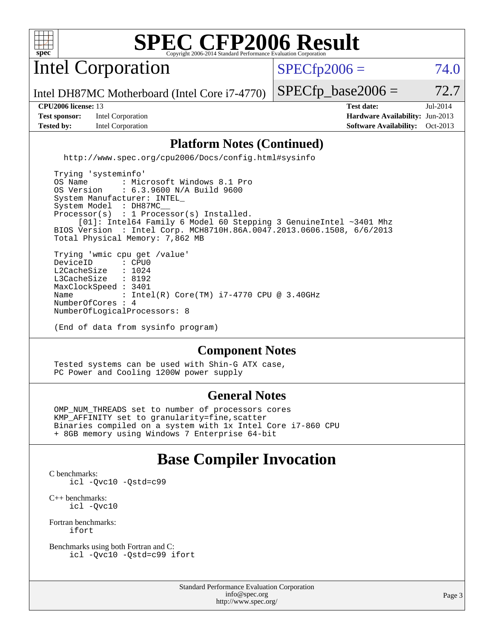

Intel Corporation

 $SPECfp2006 = 74.0$  $SPECfp2006 = 74.0$ 

Intel DH87MC Motherboard (Intel Core i7-4770)

**[Tested by:](http://www.spec.org/auto/cpu2006/Docs/result-fields.html#Testedby)** Intel Corporation **[Software Availability:](http://www.spec.org/auto/cpu2006/Docs/result-fields.html#SoftwareAvailability)** Oct-2013

 $SPECTp\_base2006 = 72.7$ **[CPU2006 license:](http://www.spec.org/auto/cpu2006/Docs/result-fields.html#CPU2006license)** 13 **[Test date:](http://www.spec.org/auto/cpu2006/Docs/result-fields.html#Testdate)** Jul-2014 **[Test sponsor:](http://www.spec.org/auto/cpu2006/Docs/result-fields.html#Testsponsor)** Intel Corporation **[Hardware Availability:](http://www.spec.org/auto/cpu2006/Docs/result-fields.html#HardwareAvailability)** Jun-2013

### **[Platform Notes \(Continued\)](http://www.spec.org/auto/cpu2006/Docs/result-fields.html#PlatformNotes)**

<http://www.spec.org/cpu2006/Docs/config.html#sysinfo>

 Trying 'systeminfo' OS Name : Microsoft Windows 8.1 Pro<br>OS Version : 6.3.9600 N/A Build 9600 : 6.3.9600 N/A Build 9600 System Manufacturer: INTEL\_ System Model : DH87MC Processor(s) : 1 Processor(s) Installed. [01]: Intel64 Family 6 Model 60 Stepping 3 GenuineIntel ~3401 Mhz BIOS Version : Intel Corp. MCH8710H.86A.0047.2013.0606.1508, 6/6/2013 Total Physical Memory: 7,862 MB Trying 'wmic cpu get /value' DeviceID : CPU0<br>L2CacheSize : 1024 L2CacheSize : 1024<br>L3CacheSize : 8192 L3CacheSize MaxClockSpeed : 3401 Name : Intel(R) Core(TM) i7-4770 CPU @ 3.40GHz NumberOfCores : 4 NumberOfLogicalProcessors: 8

**[Component Notes](http://www.spec.org/auto/cpu2006/Docs/result-fields.html#ComponentNotes)**

 Tested systems can be used with Shin-G ATX case, PC Power and Cooling 1200W power supply

(End of data from sysinfo program)

### **[General Notes](http://www.spec.org/auto/cpu2006/Docs/result-fields.html#GeneralNotes)**

 OMP\_NUM\_THREADS set to number of processors cores KMP\_AFFINITY set to granularity=fine,scatter Binaries compiled on a system with 1x Intel Core i7-860 CPU + 8GB memory using Windows 7 Enterprise 64-bit

### **[Base Compiler Invocation](http://www.spec.org/auto/cpu2006/Docs/result-fields.html#BaseCompilerInvocation)**

[C benchmarks](http://www.spec.org/auto/cpu2006/Docs/result-fields.html#Cbenchmarks): [icl -Qvc10](http://www.spec.org/cpu2006/results/res2014q3/cpu2006-20140728-30673.flags.html#user_CCbase_intel_icc_vc10_9607f3ecbcdf68042245f068e51b40c1) [-Qstd=c99](http://www.spec.org/cpu2006/results/res2014q3/cpu2006-20140728-30673.flags.html#user_CCbase_intel_compiler_c99_mode_1a3d110e3041b3ad4466830521bdad2a)

[C++ benchmarks:](http://www.spec.org/auto/cpu2006/Docs/result-fields.html#CXXbenchmarks) [icl -Qvc10](http://www.spec.org/cpu2006/results/res2014q3/cpu2006-20140728-30673.flags.html#user_CXXbase_intel_icc_vc10_9607f3ecbcdf68042245f068e51b40c1)

[Fortran benchmarks](http://www.spec.org/auto/cpu2006/Docs/result-fields.html#Fortranbenchmarks): [ifort](http://www.spec.org/cpu2006/results/res2014q3/cpu2006-20140728-30673.flags.html#user_FCbase_intel_ifort_8a5e5e06b19a251bdeaf8fdab5d62f20)

[Benchmarks using both Fortran and C](http://www.spec.org/auto/cpu2006/Docs/result-fields.html#BenchmarksusingbothFortranandC): [icl -Qvc10](http://www.spec.org/cpu2006/results/res2014q3/cpu2006-20140728-30673.flags.html#user_CC_FCbase_intel_icc_vc10_9607f3ecbcdf68042245f068e51b40c1) [-Qstd=c99](http://www.spec.org/cpu2006/results/res2014q3/cpu2006-20140728-30673.flags.html#user_CC_FCbase_intel_compiler_c99_mode_1a3d110e3041b3ad4466830521bdad2a) [ifort](http://www.spec.org/cpu2006/results/res2014q3/cpu2006-20140728-30673.flags.html#user_CC_FCbase_intel_ifort_8a5e5e06b19a251bdeaf8fdab5d62f20)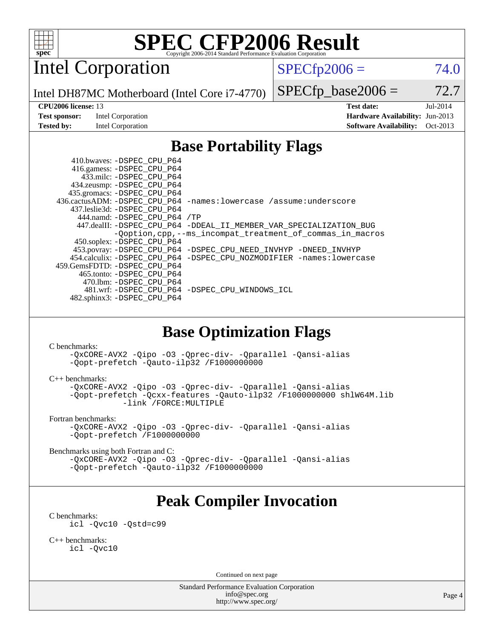

Intel Corporation

 $SPECfp2006 = 74.0$  $SPECfp2006 = 74.0$ 

Intel DH87MC Motherboard (Intel Core i7-4770)

 $SPECTp\_base2006 = 72.7$ 

**[Test sponsor:](http://www.spec.org/auto/cpu2006/Docs/result-fields.html#Testsponsor)** Intel Corporation **[Hardware Availability:](http://www.spec.org/auto/cpu2006/Docs/result-fields.html#HardwareAvailability)** Jun-2013

**[CPU2006 license:](http://www.spec.org/auto/cpu2006/Docs/result-fields.html#CPU2006license)** 13 **[Test date:](http://www.spec.org/auto/cpu2006/Docs/result-fields.html#Testdate)** Jul-2014 **[Tested by:](http://www.spec.org/auto/cpu2006/Docs/result-fields.html#Testedby)** Intel Corporation **[Software Availability:](http://www.spec.org/auto/cpu2006/Docs/result-fields.html#SoftwareAvailability)** Oct-2013

### **[Base Portability Flags](http://www.spec.org/auto/cpu2006/Docs/result-fields.html#BasePortabilityFlags)**

 410.bwaves: [-DSPEC\\_CPU\\_P64](http://www.spec.org/cpu2006/results/res2014q3/cpu2006-20140728-30673.flags.html#suite_basePORTABILITY410_bwaves_DSPEC_CPU_P64) 416.gamess: [-DSPEC\\_CPU\\_P64](http://www.spec.org/cpu2006/results/res2014q3/cpu2006-20140728-30673.flags.html#suite_basePORTABILITY416_gamess_DSPEC_CPU_P64) 433.milc: [-DSPEC\\_CPU\\_P64](http://www.spec.org/cpu2006/results/res2014q3/cpu2006-20140728-30673.flags.html#suite_basePORTABILITY433_milc_DSPEC_CPU_P64) 434.zeusmp: [-DSPEC\\_CPU\\_P64](http://www.spec.org/cpu2006/results/res2014q3/cpu2006-20140728-30673.flags.html#suite_basePORTABILITY434_zeusmp_DSPEC_CPU_P64) 435.gromacs: [-DSPEC\\_CPU\\_P64](http://www.spec.org/cpu2006/results/res2014q3/cpu2006-20140728-30673.flags.html#suite_basePORTABILITY435_gromacs_DSPEC_CPU_P64) 436.cactusADM: [-DSPEC\\_CPU\\_P64](http://www.spec.org/cpu2006/results/res2014q3/cpu2006-20140728-30673.flags.html#suite_basePORTABILITY436_cactusADM_DSPEC_CPU_P64) [-names:lowercase](http://www.spec.org/cpu2006/results/res2014q3/cpu2006-20140728-30673.flags.html#user_baseFPORTABILITY436_cactusADM_lowercase_routine_name_fa09b8c93d90fdc7bf4c1a91694c3a84) [/assume:underscore](http://www.spec.org/cpu2006/results/res2014q3/cpu2006-20140728-30673.flags.html#user_baseFPORTABILITY436_cactusADM_add-underscore_to_routine_name_0c7c658d9e5eb8b86e282975775768a4) 437.leslie3d: [-DSPEC\\_CPU\\_P64](http://www.spec.org/cpu2006/results/res2014q3/cpu2006-20140728-30673.flags.html#suite_basePORTABILITY437_leslie3d_DSPEC_CPU_P64) 444.namd: [-DSPEC\\_CPU\\_P64](http://www.spec.org/cpu2006/results/res2014q3/cpu2006-20140728-30673.flags.html#suite_basePORTABILITY444_namd_DSPEC_CPU_P64) [/TP](http://www.spec.org/cpu2006/results/res2014q3/cpu2006-20140728-30673.flags.html#user_baseCXXPORTABILITY444_namd_assume_cplusplus_sources_73f79b6e94f79d415caf1b69b30a60d8) 447.dealII: [-DSPEC\\_CPU\\_P64](http://www.spec.org/cpu2006/results/res2014q3/cpu2006-20140728-30673.flags.html#suite_basePORTABILITY447_dealII_DSPEC_CPU_P64) [-DDEAL\\_II\\_MEMBER\\_VAR\\_SPECIALIZATION\\_BUG](http://www.spec.org/cpu2006/results/res2014q3/cpu2006-20140728-30673.flags.html#b447.dealII_baseCXXPORTABILITY_DDEAL_II_MEMBER_VAR_SPECIALIZATION_BUG) [-Qoption,cpp,--ms\\_incompat\\_treatment\\_of\\_commas\\_in\\_macros](http://www.spec.org/cpu2006/results/res2014q3/cpu2006-20140728-30673.flags.html#user_baseCXXPORTABILITY447_dealII_workaround_for_incompat_commas_in_macros_371e7208d1728f07541b35505d65f89c) 450.soplex: [-DSPEC\\_CPU\\_P64](http://www.spec.org/cpu2006/results/res2014q3/cpu2006-20140728-30673.flags.html#suite_basePORTABILITY450_soplex_DSPEC_CPU_P64) 453.povray: [-DSPEC\\_CPU\\_P64](http://www.spec.org/cpu2006/results/res2014q3/cpu2006-20140728-30673.flags.html#suite_basePORTABILITY453_povray_DSPEC_CPU_P64) [-DSPEC\\_CPU\\_NEED\\_INVHYP](http://www.spec.org/cpu2006/results/res2014q3/cpu2006-20140728-30673.flags.html#b453.povray_baseCXXPORTABILITY_DSPEC_CPU_NEED_INVHYP) [-DNEED\\_INVHYP](http://www.spec.org/cpu2006/results/res2014q3/cpu2006-20140728-30673.flags.html#b453.povray_baseCXXPORTABILITY_DNEED_INVHYP) 454.calculix: [-DSPEC\\_CPU\\_P64](http://www.spec.org/cpu2006/results/res2014q3/cpu2006-20140728-30673.flags.html#suite_basePORTABILITY454_calculix_DSPEC_CPU_P64) [-DSPEC\\_CPU\\_NOZMODIFIER](http://www.spec.org/cpu2006/results/res2014q3/cpu2006-20140728-30673.flags.html#b454.calculix_baseCPORTABILITY_DSPEC_CPU_NOZMODIFIER) [-names:lowercase](http://www.spec.org/cpu2006/results/res2014q3/cpu2006-20140728-30673.flags.html#user_baseFPORTABILITY454_calculix_lowercase_routine_name_fa09b8c93d90fdc7bf4c1a91694c3a84) 459.GemsFDTD: [-DSPEC\\_CPU\\_P64](http://www.spec.org/cpu2006/results/res2014q3/cpu2006-20140728-30673.flags.html#suite_basePORTABILITY459_GemsFDTD_DSPEC_CPU_P64) 465.tonto: [-DSPEC\\_CPU\\_P64](http://www.spec.org/cpu2006/results/res2014q3/cpu2006-20140728-30673.flags.html#suite_basePORTABILITY465_tonto_DSPEC_CPU_P64) 470.lbm: [-DSPEC\\_CPU\\_P64](http://www.spec.org/cpu2006/results/res2014q3/cpu2006-20140728-30673.flags.html#suite_basePORTABILITY470_lbm_DSPEC_CPU_P64) 481.wrf: [-DSPEC\\_CPU\\_P64](http://www.spec.org/cpu2006/results/res2014q3/cpu2006-20140728-30673.flags.html#suite_basePORTABILITY481_wrf_DSPEC_CPU_P64) [-DSPEC\\_CPU\\_WINDOWS\\_ICL](http://www.spec.org/cpu2006/results/res2014q3/cpu2006-20140728-30673.flags.html#b481.wrf_baseCPORTABILITY_DSPEC_CPU_WINDOWS_ICL) 482.sphinx3: [-DSPEC\\_CPU\\_P64](http://www.spec.org/cpu2006/results/res2014q3/cpu2006-20140728-30673.flags.html#suite_basePORTABILITY482_sphinx3_DSPEC_CPU_P64)

### **[Base Optimization Flags](http://www.spec.org/auto/cpu2006/Docs/result-fields.html#BaseOptimizationFlags)**

[C benchmarks](http://www.spec.org/auto/cpu2006/Docs/result-fields.html#Cbenchmarks):

[-QxCORE-AVX2](http://www.spec.org/cpu2006/results/res2014q3/cpu2006-20140728-30673.flags.html#user_CCbase_f-QxAVX2_f98716b5f9e905f99c943c56f21bf430) [-Qipo](http://www.spec.org/cpu2006/results/res2014q3/cpu2006-20140728-30673.flags.html#user_CCbase_f-Qipo) [-O3](http://www.spec.org/cpu2006/results/res2014q3/cpu2006-20140728-30673.flags.html#user_CCbase_f-O3) [-Qprec-div-](http://www.spec.org/cpu2006/results/res2014q3/cpu2006-20140728-30673.flags.html#user_CCbase_f-Qprec-div-) [-Qparallel](http://www.spec.org/cpu2006/results/res2014q3/cpu2006-20140728-30673.flags.html#user_CCbase_f-Qparallel) [-Qansi-alias](http://www.spec.org/cpu2006/results/res2014q3/cpu2006-20140728-30673.flags.html#user_CCbase_f-Qansi-alias) [-Qopt-prefetch](http://www.spec.org/cpu2006/results/res2014q3/cpu2006-20140728-30673.flags.html#user_CCbase_f-Qprefetch_37c211608666b9dff9380561f602f0a8) [-Qauto-ilp32](http://www.spec.org/cpu2006/results/res2014q3/cpu2006-20140728-30673.flags.html#user_CCbase_f-Qauto-ilp32) [/F1000000000](http://www.spec.org/cpu2006/results/res2014q3/cpu2006-20140728-30673.flags.html#user_CCbase_set_stack_space_25d7749c1988d91b7f93afbc0ec53727)

[C++ benchmarks:](http://www.spec.org/auto/cpu2006/Docs/result-fields.html#CXXbenchmarks)

[-QxCORE-AVX2](http://www.spec.org/cpu2006/results/res2014q3/cpu2006-20140728-30673.flags.html#user_CXXbase_f-QxAVX2_f98716b5f9e905f99c943c56f21bf430) [-Qipo](http://www.spec.org/cpu2006/results/res2014q3/cpu2006-20140728-30673.flags.html#user_CXXbase_f-Qipo) [-O3](http://www.spec.org/cpu2006/results/res2014q3/cpu2006-20140728-30673.flags.html#user_CXXbase_f-O3) [-Qprec-div-](http://www.spec.org/cpu2006/results/res2014q3/cpu2006-20140728-30673.flags.html#user_CXXbase_f-Qprec-div-) [-Qparallel](http://www.spec.org/cpu2006/results/res2014q3/cpu2006-20140728-30673.flags.html#user_CXXbase_f-Qparallel) [-Qansi-alias](http://www.spec.org/cpu2006/results/res2014q3/cpu2006-20140728-30673.flags.html#user_CXXbase_f-Qansi-alias) [-Qopt-prefetch](http://www.spec.org/cpu2006/results/res2014q3/cpu2006-20140728-30673.flags.html#user_CXXbase_f-Qprefetch_37c211608666b9dff9380561f602f0a8) [-Qcxx-features](http://www.spec.org/cpu2006/results/res2014q3/cpu2006-20140728-30673.flags.html#user_CXXbase_f-Qcxx_features_dbf36c8a6dba956e22f1645e4dcd4d98) [-Qauto-ilp32](http://www.spec.org/cpu2006/results/res2014q3/cpu2006-20140728-30673.flags.html#user_CXXbase_f-Qauto-ilp32) [/F1000000000](http://www.spec.org/cpu2006/results/res2014q3/cpu2006-20140728-30673.flags.html#user_CXXbase_set_stack_space_25d7749c1988d91b7f93afbc0ec53727) [shlW64M.lib](http://www.spec.org/cpu2006/results/res2014q3/cpu2006-20140728-30673.flags.html#user_CXXbase_SmartHeap64_c4f7f76711bdf8c0633a5c1edf6e5396)  [-link /FORCE:MULTIPLE](http://www.spec.org/cpu2006/results/res2014q3/cpu2006-20140728-30673.flags.html#user_CXXbase_link_force_multiple2_070fe330869edf77077b841074b8b0b6)

[Fortran benchmarks](http://www.spec.org/auto/cpu2006/Docs/result-fields.html#Fortranbenchmarks):

[-QxCORE-AVX2](http://www.spec.org/cpu2006/results/res2014q3/cpu2006-20140728-30673.flags.html#user_FCbase_f-QxAVX2_f98716b5f9e905f99c943c56f21bf430) [-Qipo](http://www.spec.org/cpu2006/results/res2014q3/cpu2006-20140728-30673.flags.html#user_FCbase_f-Qipo) [-O3](http://www.spec.org/cpu2006/results/res2014q3/cpu2006-20140728-30673.flags.html#user_FCbase_f-O3) [-Qprec-div-](http://www.spec.org/cpu2006/results/res2014q3/cpu2006-20140728-30673.flags.html#user_FCbase_f-Qprec-div-) [-Qparallel](http://www.spec.org/cpu2006/results/res2014q3/cpu2006-20140728-30673.flags.html#user_FCbase_f-Qparallel) [-Qansi-alias](http://www.spec.org/cpu2006/results/res2014q3/cpu2006-20140728-30673.flags.html#user_FCbase_f-Qansi-alias) [-Qopt-prefetch](http://www.spec.org/cpu2006/results/res2014q3/cpu2006-20140728-30673.flags.html#user_FCbase_f-Qprefetch_37c211608666b9dff9380561f602f0a8) [/F1000000000](http://www.spec.org/cpu2006/results/res2014q3/cpu2006-20140728-30673.flags.html#user_FCbase_set_stack_space_25d7749c1988d91b7f93afbc0ec53727)

[Benchmarks using both Fortran and C](http://www.spec.org/auto/cpu2006/Docs/result-fields.html#BenchmarksusingbothFortranandC):

[-QxCORE-AVX2](http://www.spec.org/cpu2006/results/res2014q3/cpu2006-20140728-30673.flags.html#user_CC_FCbase_f-QxAVX2_f98716b5f9e905f99c943c56f21bf430) [-Qipo](http://www.spec.org/cpu2006/results/res2014q3/cpu2006-20140728-30673.flags.html#user_CC_FCbase_f-Qipo) [-O3](http://www.spec.org/cpu2006/results/res2014q3/cpu2006-20140728-30673.flags.html#user_CC_FCbase_f-O3) [-Qprec-div-](http://www.spec.org/cpu2006/results/res2014q3/cpu2006-20140728-30673.flags.html#user_CC_FCbase_f-Qprec-div-) [-Qparallel](http://www.spec.org/cpu2006/results/res2014q3/cpu2006-20140728-30673.flags.html#user_CC_FCbase_f-Qparallel) [-Qansi-alias](http://www.spec.org/cpu2006/results/res2014q3/cpu2006-20140728-30673.flags.html#user_CC_FCbase_f-Qansi-alias) [-Qopt-prefetch](http://www.spec.org/cpu2006/results/res2014q3/cpu2006-20140728-30673.flags.html#user_CC_FCbase_f-Qprefetch_37c211608666b9dff9380561f602f0a8) [-Qauto-ilp32](http://www.spec.org/cpu2006/results/res2014q3/cpu2006-20140728-30673.flags.html#user_CC_FCbase_f-Qauto-ilp32) [/F1000000000](http://www.spec.org/cpu2006/results/res2014q3/cpu2006-20140728-30673.flags.html#user_CC_FCbase_set_stack_space_25d7749c1988d91b7f93afbc0ec53727)

## **[Peak Compiler Invocation](http://www.spec.org/auto/cpu2006/Docs/result-fields.html#PeakCompilerInvocation)**

[C benchmarks](http://www.spec.org/auto/cpu2006/Docs/result-fields.html#Cbenchmarks):

[icl -Qvc10](http://www.spec.org/cpu2006/results/res2014q3/cpu2006-20140728-30673.flags.html#user_CCpeak_intel_icc_vc10_9607f3ecbcdf68042245f068e51b40c1) [-Qstd=c99](http://www.spec.org/cpu2006/results/res2014q3/cpu2006-20140728-30673.flags.html#user_CCpeak_intel_compiler_c99_mode_1a3d110e3041b3ad4466830521bdad2a)

[C++ benchmarks:](http://www.spec.org/auto/cpu2006/Docs/result-fields.html#CXXbenchmarks) [icl -Qvc10](http://www.spec.org/cpu2006/results/res2014q3/cpu2006-20140728-30673.flags.html#user_CXXpeak_intel_icc_vc10_9607f3ecbcdf68042245f068e51b40c1)

Continued on next page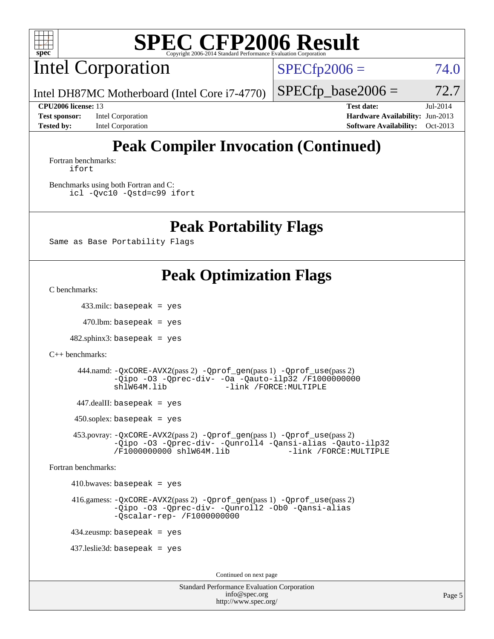

Intel Corporation

 $SPECfp2006 = 74.0$  $SPECfp2006 = 74.0$ 

Intel DH87MC Motherboard (Intel Core i7-4770)

**[Test sponsor:](http://www.spec.org/auto/cpu2006/Docs/result-fields.html#Testsponsor)** Intel Corporation **[Hardware Availability:](http://www.spec.org/auto/cpu2006/Docs/result-fields.html#HardwareAvailability)** Jun-2013 **[Tested by:](http://www.spec.org/auto/cpu2006/Docs/result-fields.html#Testedby)** Intel Corporation **[Software Availability:](http://www.spec.org/auto/cpu2006/Docs/result-fields.html#SoftwareAvailability)** Oct-2013

 $SPECTp\_base2006 = 72.7$ **[CPU2006 license:](http://www.spec.org/auto/cpu2006/Docs/result-fields.html#CPU2006license)** 13 **[Test date:](http://www.spec.org/auto/cpu2006/Docs/result-fields.html#Testdate)** Jul-2014

# **[Peak Compiler Invocation \(Continued\)](http://www.spec.org/auto/cpu2006/Docs/result-fields.html#PeakCompilerInvocation)**

[Fortran benchmarks](http://www.spec.org/auto/cpu2006/Docs/result-fields.html#Fortranbenchmarks): [ifort](http://www.spec.org/cpu2006/results/res2014q3/cpu2006-20140728-30673.flags.html#user_FCpeak_intel_ifort_8a5e5e06b19a251bdeaf8fdab5d62f20)

[Benchmarks using both Fortran and C](http://www.spec.org/auto/cpu2006/Docs/result-fields.html#BenchmarksusingbothFortranandC): [icl -Qvc10](http://www.spec.org/cpu2006/results/res2014q3/cpu2006-20140728-30673.flags.html#user_CC_FCpeak_intel_icc_vc10_9607f3ecbcdf68042245f068e51b40c1) [-Qstd=c99](http://www.spec.org/cpu2006/results/res2014q3/cpu2006-20140728-30673.flags.html#user_CC_FCpeak_intel_compiler_c99_mode_1a3d110e3041b3ad4466830521bdad2a) [ifort](http://www.spec.org/cpu2006/results/res2014q3/cpu2006-20140728-30673.flags.html#user_CC_FCpeak_intel_ifort_8a5e5e06b19a251bdeaf8fdab5d62f20)

### **[Peak Portability Flags](http://www.spec.org/auto/cpu2006/Docs/result-fields.html#PeakPortabilityFlags)**

Same as Base Portability Flags

## **[Peak Optimization Flags](http://www.spec.org/auto/cpu2006/Docs/result-fields.html#PeakOptimizationFlags)**

[C benchmarks](http://www.spec.org/auto/cpu2006/Docs/result-fields.html#Cbenchmarks):

433.milc: basepeak = yes

 $470$ .lbm: basepeak = yes

 $482$ .sphinx $3$ : basepeak = yes

```
C++ benchmarks:
```
 444.namd: [-QxCORE-AVX2](http://www.spec.org/cpu2006/results/res2014q3/cpu2006-20140728-30673.flags.html#user_peakPASS2_CXXFLAGSPASS2_LDFLAGS444_namd_f-QxAVX2_f98716b5f9e905f99c943c56f21bf430)(pass 2) [-Qprof\\_gen](http://www.spec.org/cpu2006/results/res2014q3/cpu2006-20140728-30673.flags.html#user_peakPASS1_CXXFLAGSPASS1_LDFLAGS444_namd_Qprof_gen)(pass 1) [-Qprof\\_use](http://www.spec.org/cpu2006/results/res2014q3/cpu2006-20140728-30673.flags.html#user_peakPASS2_CXXFLAGSPASS2_LDFLAGS444_namd_Qprof_use)(pass 2) [-Qipo](http://www.spec.org/cpu2006/results/res2014q3/cpu2006-20140728-30673.flags.html#user_peakOPTIMIZE444_namd_f-Qipo) [-O3](http://www.spec.org/cpu2006/results/res2014q3/cpu2006-20140728-30673.flags.html#user_peakOPTIMIZE444_namd_f-O3) [-Qprec-div-](http://www.spec.org/cpu2006/results/res2014q3/cpu2006-20140728-30673.flags.html#user_peakOPTIMIZE444_namd_f-Qprec-div-) [-Oa](http://www.spec.org/cpu2006/results/res2014q3/cpu2006-20140728-30673.flags.html#user_peakOPTIMIZE444_namd_f-Oa) [-Qauto-ilp32](http://www.spec.org/cpu2006/results/res2014q3/cpu2006-20140728-30673.flags.html#user_peakCXXOPTIMIZE444_namd_f-Qauto-ilp32) [/F1000000000](http://www.spec.org/cpu2006/results/res2014q3/cpu2006-20140728-30673.flags.html#user_peakEXTRA_LDFLAGS444_namd_set_stack_space_25d7749c1988d91b7f93afbc0ec53727) [shlW64M.lib](http://www.spec.org/cpu2006/results/res2014q3/cpu2006-20140728-30673.flags.html#user_peakEXTRA_LIBS444_namd_SmartHeap64_c4f7f76711bdf8c0633a5c1edf6e5396) [-link /FORCE:MULTIPLE](http://www.spec.org/cpu2006/results/res2014q3/cpu2006-20140728-30673.flags.html#user_peakLDOUT444_namd_link_force_multiple2_070fe330869edf77077b841074b8b0b6)

447.dealII: basepeak = yes

 $450$ .soplex: basepeak = yes

 453.povray: [-QxCORE-AVX2](http://www.spec.org/cpu2006/results/res2014q3/cpu2006-20140728-30673.flags.html#user_peakPASS2_CXXFLAGSPASS2_LDFLAGS453_povray_f-QxAVX2_f98716b5f9e905f99c943c56f21bf430)(pass 2) [-Qprof\\_gen](http://www.spec.org/cpu2006/results/res2014q3/cpu2006-20140728-30673.flags.html#user_peakPASS1_CXXFLAGSPASS1_LDFLAGS453_povray_Qprof_gen)(pass 1) [-Qprof\\_use](http://www.spec.org/cpu2006/results/res2014q3/cpu2006-20140728-30673.flags.html#user_peakPASS2_CXXFLAGSPASS2_LDFLAGS453_povray_Qprof_use)(pass 2) [-Qipo](http://www.spec.org/cpu2006/results/res2014q3/cpu2006-20140728-30673.flags.html#user_peakOPTIMIZE453_povray_f-Qipo) [-O3](http://www.spec.org/cpu2006/results/res2014q3/cpu2006-20140728-30673.flags.html#user_peakOPTIMIZE453_povray_f-O3) [-Qprec-div-](http://www.spec.org/cpu2006/results/res2014q3/cpu2006-20140728-30673.flags.html#user_peakOPTIMIZE453_povray_f-Qprec-div-) [-Qunroll4](http://www.spec.org/cpu2006/results/res2014q3/cpu2006-20140728-30673.flags.html#user_peakOPTIMIZE453_povray_f-Qunroll_013b1c0ea3aa84ef2c65e488bcc3d968) [-Qansi-alias](http://www.spec.org/cpu2006/results/res2014q3/cpu2006-20140728-30673.flags.html#user_peakOPTIMIZE453_povray_f-Qansi-alias) [-Qauto-ilp32](http://www.spec.org/cpu2006/results/res2014q3/cpu2006-20140728-30673.flags.html#user_peakCXXOPTIMIZE453_povray_f-Qauto-ilp32) [/F1000000000](http://www.spec.org/cpu2006/results/res2014q3/cpu2006-20140728-30673.flags.html#user_peakEXTRA_LDFLAGS453_povray_set_stack_space_25d7749c1988d91b7f93afbc0ec53727) [shlW64M.lib](http://www.spec.org/cpu2006/results/res2014q3/cpu2006-20140728-30673.flags.html#user_peakEXTRA_LIBS453_povray_SmartHeap64_c4f7f76711bdf8c0633a5c1edf6e5396)

[Fortran benchmarks](http://www.spec.org/auto/cpu2006/Docs/result-fields.html#Fortranbenchmarks):

 $410.bwaves: basepeak = yes$ 

 416.gamess: [-QxCORE-AVX2](http://www.spec.org/cpu2006/results/res2014q3/cpu2006-20140728-30673.flags.html#user_peakPASS2_FFLAGSPASS2_LDFLAGS416_gamess_f-QxAVX2_f98716b5f9e905f99c943c56f21bf430)(pass 2) [-Qprof\\_gen](http://www.spec.org/cpu2006/results/res2014q3/cpu2006-20140728-30673.flags.html#user_peakPASS1_FFLAGSPASS1_LDFLAGS416_gamess_Qprof_gen)(pass 1) [-Qprof\\_use](http://www.spec.org/cpu2006/results/res2014q3/cpu2006-20140728-30673.flags.html#user_peakPASS2_FFLAGSPASS2_LDFLAGS416_gamess_Qprof_use)(pass 2) [-Qipo](http://www.spec.org/cpu2006/results/res2014q3/cpu2006-20140728-30673.flags.html#user_peakOPTIMIZE416_gamess_f-Qipo) [-O3](http://www.spec.org/cpu2006/results/res2014q3/cpu2006-20140728-30673.flags.html#user_peakOPTIMIZE416_gamess_f-O3) [-Qprec-div-](http://www.spec.org/cpu2006/results/res2014q3/cpu2006-20140728-30673.flags.html#user_peakOPTIMIZE416_gamess_f-Qprec-div-) [-Qunroll2](http://www.spec.org/cpu2006/results/res2014q3/cpu2006-20140728-30673.flags.html#user_peakOPTIMIZE416_gamess_f-Qunroll_1d9456aa650e77fc2a0cf43cef3fa08c) [-Ob0](http://www.spec.org/cpu2006/results/res2014q3/cpu2006-20140728-30673.flags.html#user_peakOPTIMIZE416_gamess_f-Ob_n_fbe6f6428adb7d4b74b1e99bb2444c2d) [-Qansi-alias](http://www.spec.org/cpu2006/results/res2014q3/cpu2006-20140728-30673.flags.html#user_peakOPTIMIZE416_gamess_f-Qansi-alias) [-Qscalar-rep-](http://www.spec.org/cpu2006/results/res2014q3/cpu2006-20140728-30673.flags.html#user_peakOPTIMIZE416_gamess_f-Qscalar-rep_02cb9e11a5340d80ab3062d84e5dfb2e) [/F1000000000](http://www.spec.org/cpu2006/results/res2014q3/cpu2006-20140728-30673.flags.html#user_peakEXTRA_LDFLAGS416_gamess_set_stack_space_25d7749c1988d91b7f93afbc0ec53727)

434.zeusmp: basepeak = yes

437.leslie3d: basepeak = yes

Continued on next page